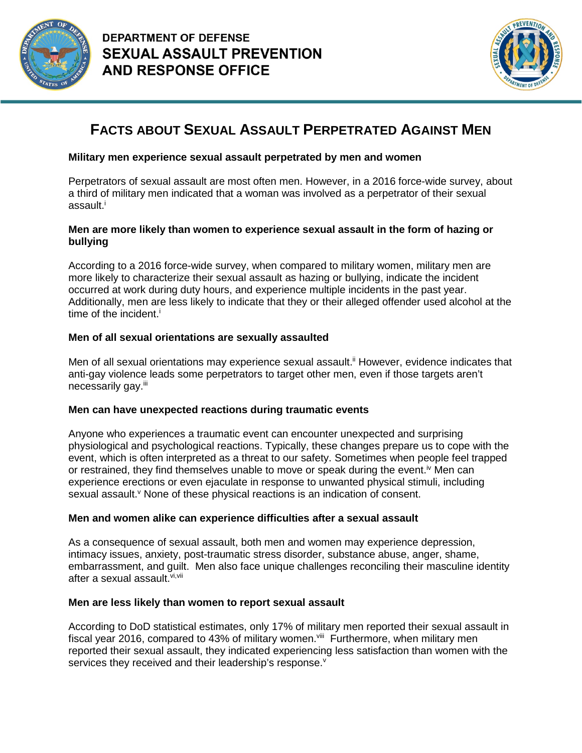



# **FACTS ABOUT SEXUAL ASSAULT PERPETRATED AGAINST MEN**

## **Military men experience sexual assault perpetrated by men and women**

Perpetrators of sexual assault are most often men. However, in a 2016 force-wide survey, about a third of military men indicated that a woman was involved as a perpetrator of their sexual assault.<sup>i</sup>

## **Men are more likely than women to experience sexual assault in the form of hazing or bullying**

According to a 2016 force-wide survey, when compared to military women, military men are more likely to characterize their sexual assault as hazing or bullying, indicate the incident occurred at work during duty hours, and experience multiple incidents in the past year. Additionally, men are less likely to indicate that they or their alleged offender used alcohol at the time of the incident.<sup>i</sup>

## **Men of all sexual orientations are sexually assaulted**

Men of all sexual orientations may experience sexual assault.<sup>ii</sup> However, evidence indicates that anti-gay violence leads some perpetrators to target other men, even if those targets aren't necessarily gay.iii

## **Men can have unexpected reactions during traumatic events**

Anyone who experiences a traumatic event can encounter unexpected and surprising physiological and psychological reactions. Typically, these changes prepare us to cope with the event, which is often interpreted as a threat to our safety. Sometimes when people feel trapped or restrained, they find themselves unable to move or speak during the event.<sup>iv</sup> Men can experience erections or even ejaculate in response to unwanted physical stimuli, including sexual assault.<sup>v</sup> None of these physical reactions is an indication of consent.

## **Men and women alike can experience difficulties after a sexual assault**

As a consequence of sexual assault, both men and women may experience depression, intimacy issues, anxiety, post-traumatic stress disorder, substance abuse, anger, shame, embarrassment, and guilt. Men also face unique challenges reconciling their masculine identity after a sexual assault.<sup>vi,vii</sup>

## **Men are less likely than women to report sexual assault**

According to DoD statistical estimates, only 17% of military men reported their sexual assault in fiscal year 2016, compared to 43% of military women. III Furthermore, when military men reported their sexual assault, they indicated experiencing less satisfaction than women with the services they received and their leadership's response.<sup>v</sup>